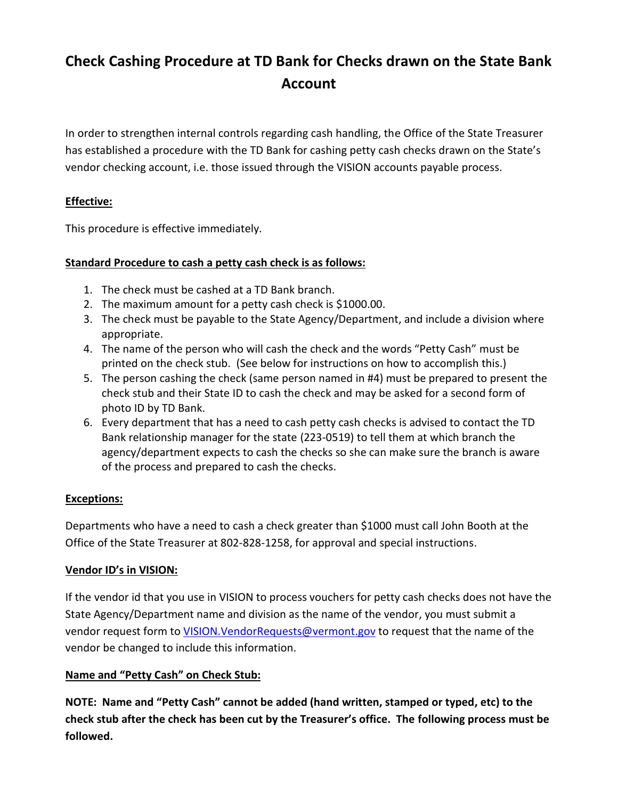# **Check Cashing Procedure at TD Bank for Checks drawn on the State Bank Account**

In order to strengthen internal controls regarding cash handling, the Office of the State Treasurer has established a procedure with the TD Bank for cashing petty cash checks drawn on the State's vendor checking account, i.e. those issued through the VISION accounts payable process.

## **Effective:**

This procedure is effective immediately.

### **Standard Procedure to cash a petty cash check is as follows:**

- 1. The check must be cashed at a TD Bank branch.
- 2. The maximum amount for a petty cash check is \$1000.00.
- 3. The check must be payable to the State Agency/Department, and include a division where appropriate.
- 4. The name of the person who will cash the check and the words "Petty Cash" must be printed on the check stub. (See below for instructions on how to accomplish this.)
- 5. The person cashing the check (same person named in #4) must be prepared to present the check stub and their State ID to cash the check and may be asked for a second form of photo ID by TD Bank.
- 6. Every department that has a need to cash petty cash checks is advised to contact the TD Bank relationship manager for the state (223-0519) to tell them at which branch the agency/department expects to cash the checks so she can make sure the branch is aware of the process and prepared to cash the checks.

## **Exceptions:**

Departments who have a need to cash a check greater than \$1000 must call John Booth at the Office of the State Treasurer at 802-828-1258, for approval and special instructions.

## **Vendor ID's in VISION:**

If the vendor id that you use in VISION to process vouchers for petty cash checks does not have the State Agency/Department name and division as the name of the vendor, you must submit a vendor request form to VISION. VendorRequests@vermont.gov to request that the name of the vendor be changed to include this information.

## **Name and "Petty Cash" on Check Stub:**

**NOTE: Name and "Petty Cash" cannot be added (hand written, stamped or typed, etc) to the check stub after the check has been cut by the Treasurer's office. The following process must be followed.**